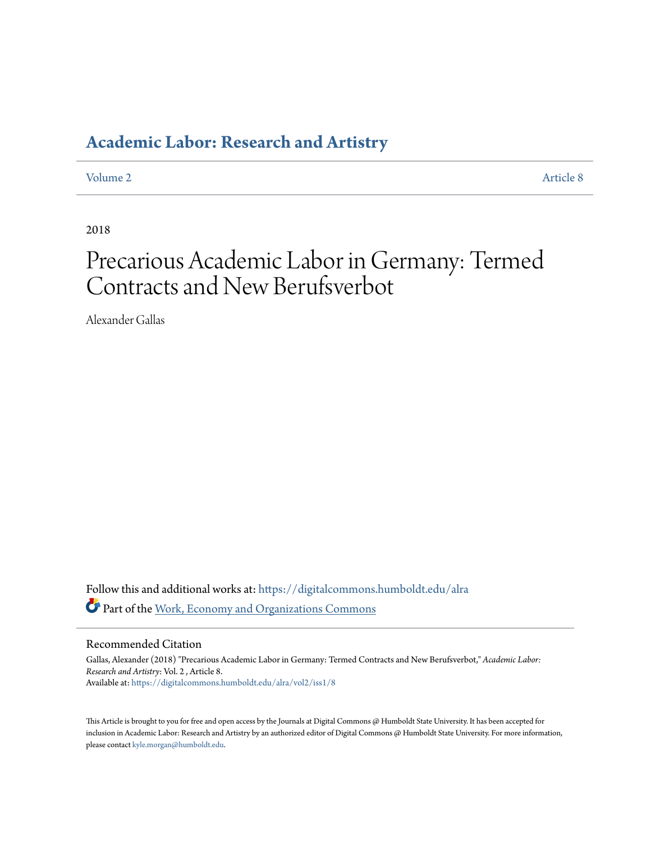### **[Academic Labor: Research and Artistry](https://digitalcommons.humboldt.edu/alra?utm_source=digitalcommons.humboldt.edu%2Falra%2Fvol2%2Fiss1%2F8&utm_medium=PDF&utm_campaign=PDFCoverPages)**

[Volume 2](https://digitalcommons.humboldt.edu/alra/vol2?utm_source=digitalcommons.humboldt.edu%2Falra%2Fvol2%2Fiss1%2F8&utm_medium=PDF&utm_campaign=PDFCoverPages) [Article 8](https://digitalcommons.humboldt.edu/alra/vol2/iss1/8?utm_source=digitalcommons.humboldt.edu%2Falra%2Fvol2%2Fiss1%2F8&utm_medium=PDF&utm_campaign=PDFCoverPages)

2018

# Precarious Academic Labor in Germany: Termed Contracts and New Berufsverbot

Alexander Gallas

Follow this and additional works at: [https://digitalcommons.humboldt.edu/alra](https://digitalcommons.humboldt.edu/alra?utm_source=digitalcommons.humboldt.edu%2Falra%2Fvol2%2Fiss1%2F8&utm_medium=PDF&utm_campaign=PDFCoverPages) Part of the [Work, Economy and Organizations Commons](http://network.bepress.com/hgg/discipline/433?utm_source=digitalcommons.humboldt.edu%2Falra%2Fvol2%2Fiss1%2F8&utm_medium=PDF&utm_campaign=PDFCoverPages)

Recommended Citation

Gallas, Alexander (2018) "Precarious Academic Labor in Germany: Termed Contracts and New Berufsverbot," *Academic Labor: Research and Artistry*: Vol. 2 , Article 8. Available at: [https://digitalcommons.humboldt.edu/alra/vol2/iss1/8](https://digitalcommons.humboldt.edu/alra/vol2/iss1/8?utm_source=digitalcommons.humboldt.edu%2Falra%2Fvol2%2Fiss1%2F8&utm_medium=PDF&utm_campaign=PDFCoverPages)

This Article is brought to you for free and open access by the Journals at Digital Commons @ Humboldt State University. It has been accepted for inclusion in Academic Labor: Research and Artistry by an authorized editor of Digital Commons @ Humboldt State University. For more information, please contact [kyle.morgan@humboldt.edu.](mailto:kyle.morgan@humboldt.edu)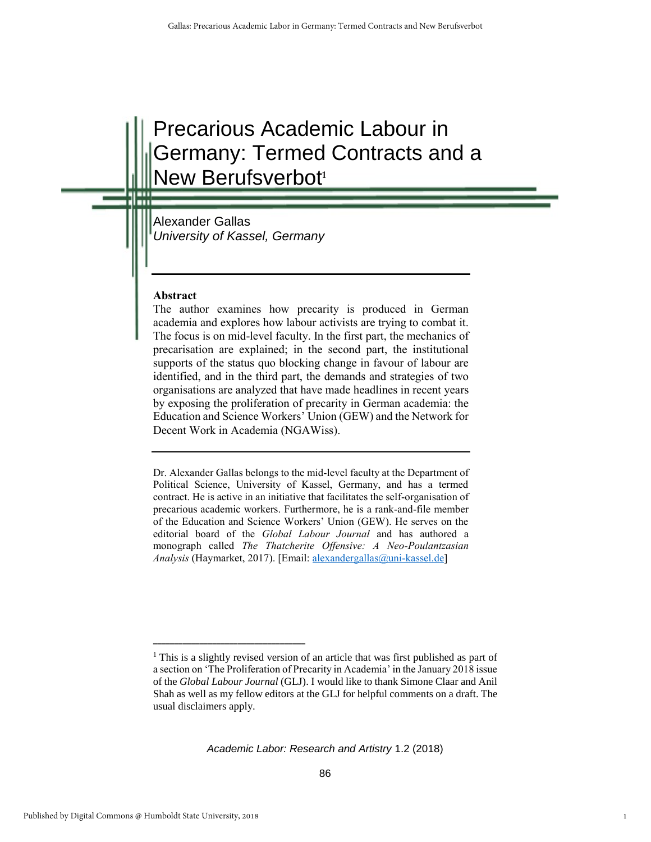## Precarious Academic Labour in Germany: Termed Contracts and a **New Berufsverbot<sup>1</sup>**

Alexander Gallas *University of Kassel, Germany*

**\_\_\_\_\_\_\_\_\_\_\_\_\_\_\_\_\_\_\_\_\_\_\_\_\_\_\_\_\_\_\_\_\_\_\_\_** 

#### **Abstract**

The author examines how precarity is produced in German academia and explores how labour activists are trying to combat it. The focus is on mid-level faculty. In the first part, the mechanics of precarisation are explained; in the second part, the institutional supports of the status quo blocking change in favour of labour are identified, and in the third part, the demands and strategies of two organisations are analyzed that have made headlines in recent years by exposing the proliferation of precarity in German academia: the Education and Science Workers' Union (GEW) and the Network for Decent Work in Academia (NGAWiss).

Dr. Alexander Gallas belongs to the mid-level faculty at the Department of Political Science, University of Kassel, Germany, and has a termed contract. He is active in an initiative that facilitates the self-organisation of precarious academic workers. Furthermore, he is a rank-and-file member of the Education and Science Workers' Union (GEW). He serves on the editorial board of the *Global Labour Journal* and has authored a monograph called *The Thatcherite Offensive: A Neo-Poulantzasian Analysis* (Haymarket, 2017). [Email: [alexandergallas@uni-kassel.de\]](mailto:alexandergallas@uni-kassel.de)

<sup>&</sup>lt;sup>1</sup> This is a slightly revised version of an article that was first published as part of a section on 'The Proliferation of Precarity in Academia' in the January 2018 issue of the *Global Labour Journal* (GLJ). I would like to thank Simone Claar and Anil Shah as well as my fellow editors at the GLJ for helpful comments on a draft. The usual disclaimers apply.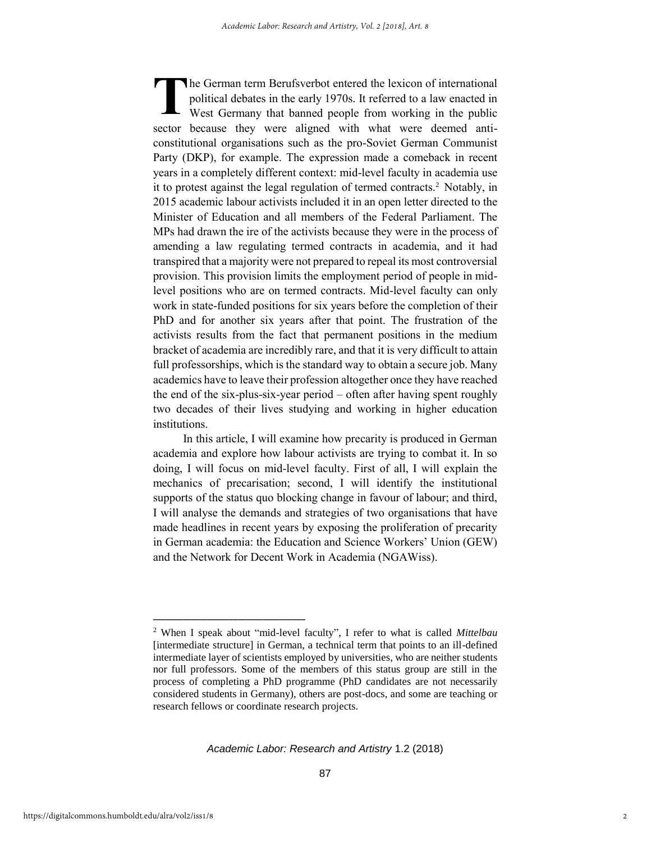he German term Berufsverbot entered the lexicon of international political debates in the early 1970s. It referred to a law enacted in West Germany that banned people from working in the public sector because they were aligned with what were deemed anticonstitutional organisations such as the pro-Soviet German Communist Party (DKP), for example. The expression made a comeback in recent years in a completely different context: mid-level faculty in academia use it to protest against the legal regulation of termed contracts.<sup>2</sup> Notably, in 2015 academic labour activists included it in an open letter directed to the Minister of Education and all members of the Federal Parliament. The MPs had drawn the ire of the activists because they were in the process of amending a law regulating termed contracts in academia, and it had transpired that a majority were not prepared to repeal its most controversial provision. This provision limits the employment period of people in midlevel positions who are on termed contracts. Mid-level faculty can only work in state-funded positions for six years before the completion of their PhD and for another six years after that point. The frustration of the activists results from the fact that permanent positions in the medium bracket of academia are incredibly rare, and that it is very difficult to attain full professorships, which is the standard way to obtain a secure job. Many academics have to leave their profession altogether once they have reached the end of the six-plus-six-year period – often after having spent roughly two decades of their lives studying and working in higher education institutions. **T**

In this article, I will examine how precarity is produced in German academia and explore how labour activists are trying to combat it. In so doing, I will focus on mid-level faculty. First of all, I will explain the mechanics of precarisation; second, I will identify the institutional supports of the status quo blocking change in favour of labour; and third, I will analyse the demands and strategies of two organisations that have made headlines in recent years by exposing the proliferation of precarity in German academia: the Education and Science Workers' Union (GEW) and the Network for Decent Work in Academia (NGAWiss).

**\_\_\_\_\_\_\_\_\_\_\_\_\_\_\_\_\_\_\_\_\_\_\_\_\_\_\_\_\_\_\_\_\_\_\_\_** 

<sup>2</sup> When I speak about "mid-level faculty", I refer to what is called *Mittelbau* [intermediate structure] in German, a technical term that points to an ill-defined intermediate layer of scientists employed by universities, who are neither students nor full professors. Some of the members of this status group are still in the process of completing a PhD programme (PhD candidates are not necessarily considered students in Germany), others are post-docs, and some are teaching or research fellows or coordinate research projects.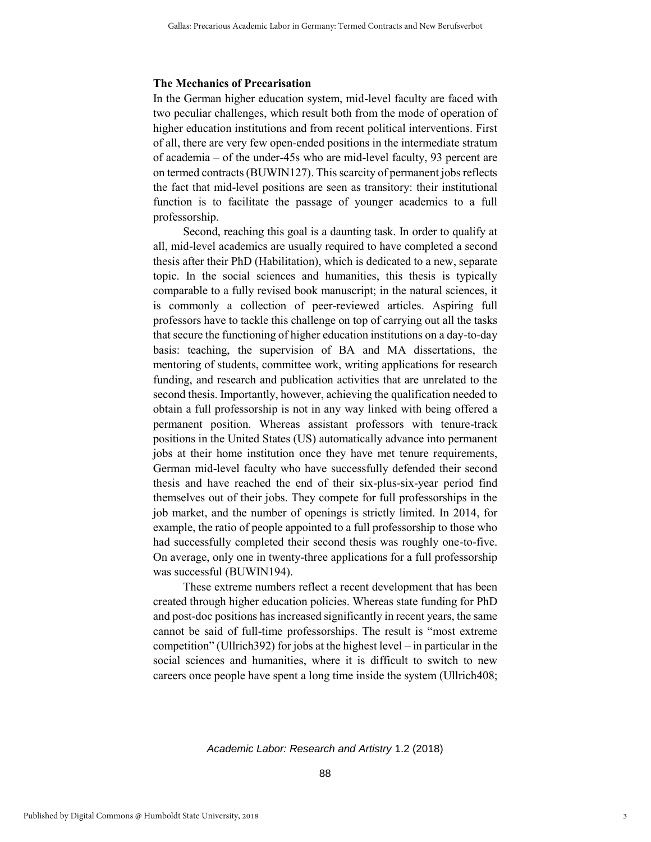#### **The Mechanics of Precarisation**

In the German higher education system, mid-level faculty are faced with two peculiar challenges, which result both from the mode of operation of higher education institutions and from recent political interventions. First of all, there are very few open-ended positions in the intermediate stratum of academia – of the under-45s who are mid-level faculty, 93 percent are on termed contracts (BUWIN127). This scarcity of permanent jobs reflects the fact that mid-level positions are seen as transitory: their institutional function is to facilitate the passage of younger academics to a full professorship.

Second, reaching this goal is a daunting task. In order to qualify at all, mid-level academics are usually required to have completed a second thesis after their PhD (Habilitation), which is dedicated to a new, separate topic. In the social sciences and humanities, this thesis is typically comparable to a fully revised book manuscript; in the natural sciences, it is commonly a collection of peer-reviewed articles. Aspiring full professors have to tackle this challenge on top of carrying out all the tasks that secure the functioning of higher education institutions on a day-to-day basis: teaching, the supervision of BA and MA dissertations, the mentoring of students, committee work, writing applications for research funding, and research and publication activities that are unrelated to the second thesis. Importantly, however, achieving the qualification needed to obtain a full professorship is not in any way linked with being offered a permanent position. Whereas assistant professors with tenure-track positions in the United States (US) automatically advance into permanent jobs at their home institution once they have met tenure requirements, German mid-level faculty who have successfully defended their second thesis and have reached the end of their six-plus-six-year period find themselves out of their jobs. They compete for full professorships in the job market, and the number of openings is strictly limited. In 2014, for example, the ratio of people appointed to a full professorship to those who had successfully completed their second thesis was roughly one-to-five. On average, only one in twenty-three applications for a full professorship was successful (BUWIN194).

These extreme numbers reflect a recent development that has been created through higher education policies. Whereas state funding for PhD and post-doc positions has increased significantly in recent years, the same cannot be said of full-time professorships. The result is "most extreme competition" (Ullrich392) for jobs at the highest level – in particular in the social sciences and humanities, where it is difficult to switch to new careers once people have spent a long time inside the system (Ullrich408;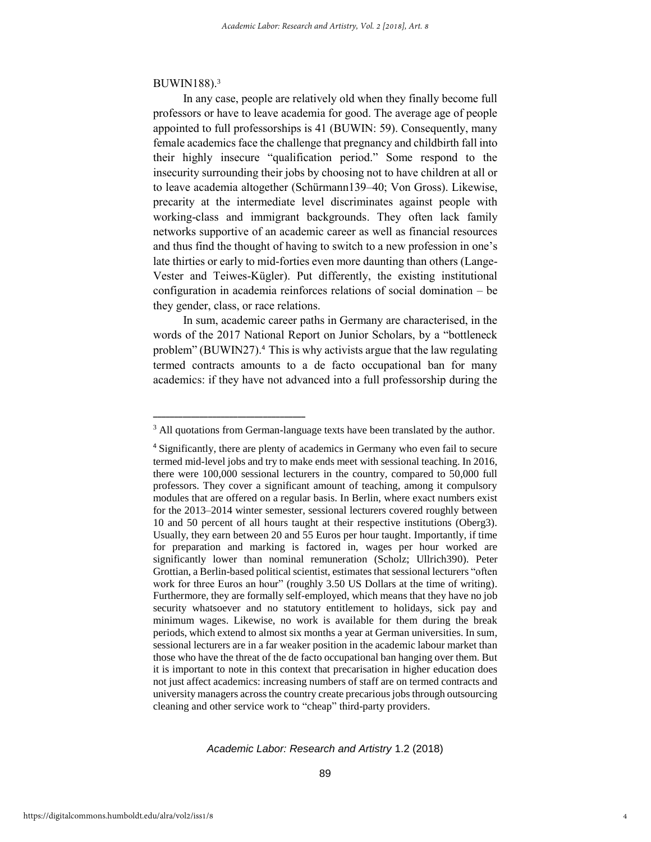#### BUWIN188).<sup>3</sup>

In any case, people are relatively old when they finally become full professors or have to leave academia for good. The average age of people appointed to full professorships is 41 (BUWIN: 59). Consequently, many female academics face the challenge that pregnancy and childbirth fall into their highly insecure "qualification period." Some respond to the insecurity surrounding their jobs by choosing not to have children at all or to leave academia altogether (Schürmann139–40; Von Gross). Likewise, precarity at the intermediate level discriminates against people with working-class and immigrant backgrounds. They often lack family networks supportive of an academic career as well as financial resources and thus find the thought of having to switch to a new profession in one's late thirties or early to mid-forties even more daunting than others (Lange-Vester and Teiwes-Kügler). Put differently, the existing institutional configuration in academia reinforces relations of social domination – be they gender, class, or race relations.

In sum, academic career paths in Germany are characterised, in the words of the 2017 National Report on Junior Scholars, by a "bottleneck problem" (BUWIN27).<sup>4</sup> This is why activists argue that the law regulating termed contracts amounts to a de facto occupational ban for many academics: if they have not advanced into a full professorship during the

**\_\_\_\_\_\_\_\_\_\_\_\_\_\_\_\_\_\_\_\_\_\_\_\_\_\_\_\_\_\_\_\_\_\_\_\_** 

<sup>&</sup>lt;sup>3</sup> All quotations from German-language texts have been translated by the author.

<sup>4</sup> Significantly, there are plenty of academics in Germany who even fail to secure termed mid-level jobs and try to make ends meet with sessional teaching. In 2016, there were 100,000 sessional lecturers in the country, compared to 50,000 full professors. They cover a significant amount of teaching, among it compulsory modules that are offered on a regular basis. In Berlin, where exact numbers exist for the 2013–2014 winter semester, sessional lecturers covered roughly between 10 and 50 percent of all hours taught at their respective institutions (Oberg3). Usually, they earn between 20 and 55 Euros per hour taught. Importantly, if time for preparation and marking is factored in, wages per hour worked are significantly lower than nominal remuneration (Scholz; Ullrich390). Peter Grottian, a Berlin-based political scientist, estimates that sessional lecturers "often work for three Euros an hour" (roughly 3.50 US Dollars at the time of writing). Furthermore, they are formally self-employed, which means that they have no job security whatsoever and no statutory entitlement to holidays, sick pay and minimum wages. Likewise, no work is available for them during the break periods, which extend to almost six months a year at German universities. In sum, sessional lecturers are in a far weaker position in the academic labour market than those who have the threat of the de facto occupational ban hanging over them. But it is important to note in this context that precarisation in higher education does not just affect academics: increasing numbers of staff are on termed contracts and university managers across the country create precarious jobs through outsourcing cleaning and other service work to "cheap" third-party providers.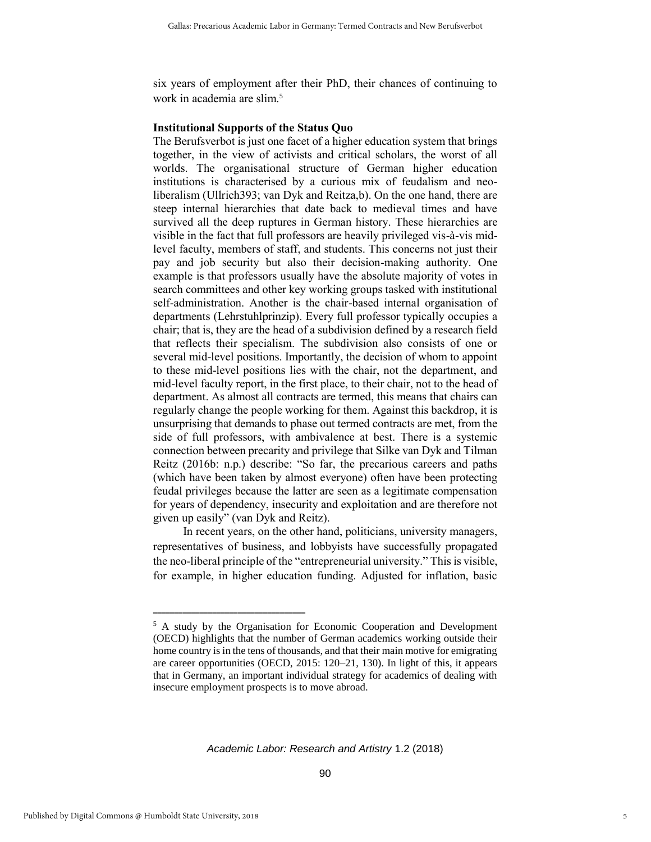six years of employment after their PhD, their chances of continuing to work in academia are slim.<sup>5</sup>

#### **Institutional Supports of the Status Quo**

The Berufsverbot is just one facet of a higher education system that brings together, in the view of activists and critical scholars, the worst of all worlds. The organisational structure of German higher education institutions is characterised by a curious mix of feudalism and neoliberalism (Ullrich393; van Dyk and Reitza,b). On the one hand, there are steep internal hierarchies that date back to medieval times and have survived all the deep ruptures in German history. These hierarchies are visible in the fact that full professors are heavily privileged vis-à-vis midlevel faculty, members of staff, and students. This concerns not just their pay and job security but also their decision-making authority. One example is that professors usually have the absolute majority of votes in search committees and other key working groups tasked with institutional self-administration. Another is the chair-based internal organisation of departments (Lehrstuhlprinzip). Every full professor typically occupies a chair; that is, they are the head of a subdivision defined by a research field that reflects their specialism. The subdivision also consists of one or several mid-level positions. Importantly, the decision of whom to appoint to these mid-level positions lies with the chair, not the department, and mid-level faculty report, in the first place, to their chair, not to the head of department. As almost all contracts are termed, this means that chairs can regularly change the people working for them. Against this backdrop, it is unsurprising that demands to phase out termed contracts are met, from the side of full professors, with ambivalence at best. There is a systemic connection between precarity and privilege that Silke van Dyk and Tilman Reitz (2016b: n.p.) describe: "So far, the precarious careers and paths (which have been taken by almost everyone) often have been protecting feudal privileges because the latter are seen as a legitimate compensation for years of dependency, insecurity and exploitation and are therefore not given up easily" (van Dyk and Reitz).

In recent years, on the other hand, politicians, university managers, representatives of business, and lobbyists have successfully propagated the neo-liberal principle of the "entrepreneurial university." This is visible, for example, in higher education funding. Adjusted for inflation, basic

**\_\_\_\_\_\_\_\_\_\_\_\_\_\_\_\_\_\_\_\_\_\_\_\_\_\_\_\_\_\_\_\_\_\_\_\_** 

<sup>&</sup>lt;sup>5</sup> A study by the Organisation for Economic Cooperation and Development (OECD) highlights that the number of German academics working outside their home country is in the tens of thousands, and that their main motive for emigrating are career opportunities (OECD, 2015: 120–21, 130). In light of this, it appears that in Germany, an important individual strategy for academics of dealing with insecure employment prospects is to move abroad.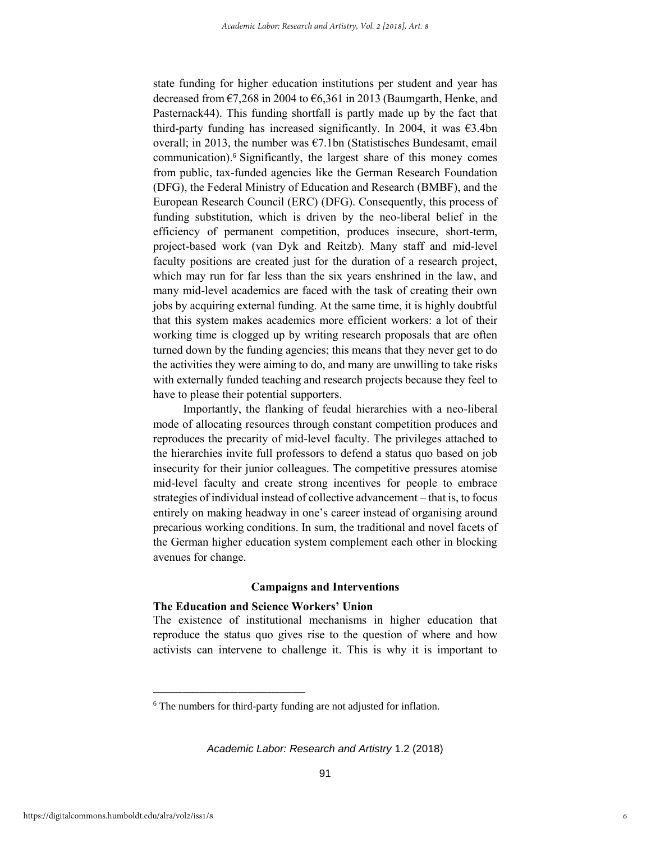state funding for higher education institutions per student and year has decreased from  $\epsilon$ 7,268 in 2004 to  $\epsilon$ 6,361 in 2013 (Baumgarth, Henke, and Pasternack44). This funding shortfall is partly made up by the fact that third-party funding has increased significantly. In 2004, it was  $\epsilon$ 3.4bn overall; in 2013, the number was  $\epsilon$ 7.1bn (Statistisches Bundesamt, email communication).<sup>6</sup> Significantly, the largest share of this money comes from public, tax-funded agencies like the German Research Foundation (DFG), the Federal Ministry of Education and Research (BMBF), and the European Research Council (ERC) (DFG). Consequently, this process of funding substitution, which is driven by the neo-liberal belief in the efficiency of permanent competition, produces insecure, short-term, project-based work (van Dyk and Reitzb). Many staff and mid-level faculty positions are created just for the duration of a research project, which may run for far less than the six years enshrined in the law, and many mid-level academics are faced with the task of creating their own jobs by acquiring external funding. At the same time, it is highly doubtful that this system makes academics more efficient workers: a lot of their working time is clogged up by writing research proposals that are often turned down by the funding agencies; this means that they never get to do the activities they were aiming to do, and many are unwilling to take risks with externally funded teaching and research projects because they feel to have to please their potential supporters.

Importantly, the flanking of feudal hierarchies with a neo-liberal mode of allocating resources through constant competition produces and reproduces the precarity of mid-level faculty. The privileges attached to the hierarchies invite full professors to defend a status quo based on job insecurity for their junior colleagues. The competitive pressures atomise mid-level faculty and create strong incentives for people to embrace strategies of individual instead of collective advancement – that is, to focus entirely on making headway in one's career instead of organising around precarious working conditions. In sum, the traditional and novel facets of the German higher education system complement each other in blocking avenues for change.

#### **Campaigns and Interventions**

#### **The Education and Science Workers' Union**

**\_\_\_\_\_\_\_\_\_\_\_\_\_\_\_\_\_\_\_\_\_\_\_\_\_\_\_\_\_\_\_\_\_\_\_\_** 

The existence of institutional mechanisms in higher education that reproduce the status quo gives rise to the question of where and how activists can intervene to challenge it. This is why it is important to

<sup>6</sup> The numbers for third-party funding are not adjusted for inflation.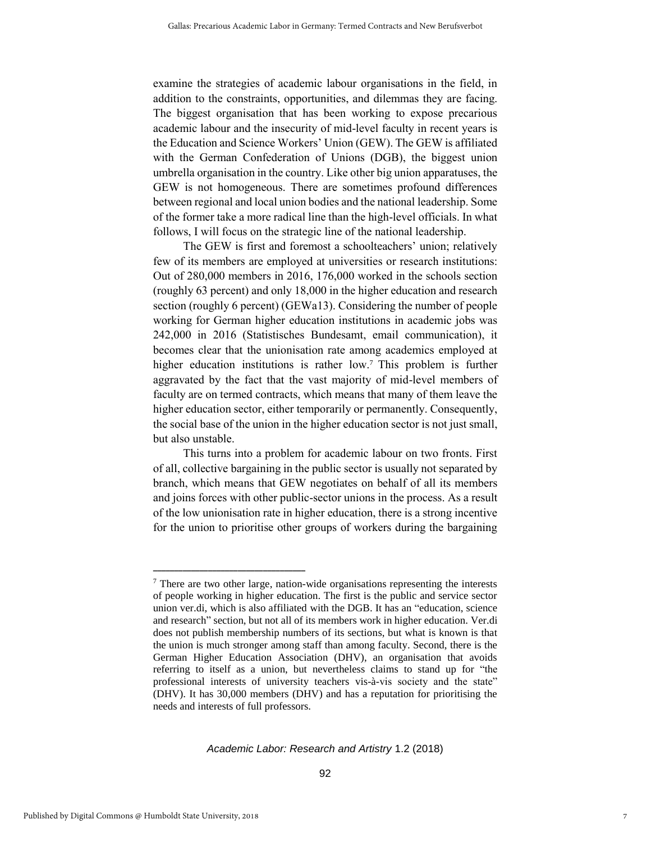examine the strategies of academic labour organisations in the field, in addition to the constraints, opportunities, and dilemmas they are facing. The biggest organisation that has been working to expose precarious academic labour and the insecurity of mid-level faculty in recent years is the Education and Science Workers' Union (GEW). The GEW is affiliated with the German Confederation of Unions (DGB), the biggest union umbrella organisation in the country. Like other big union apparatuses, the GEW is not homogeneous. There are sometimes profound differences between regional and local union bodies and the national leadership. Some of the former take a more radical line than the high-level officials. In what follows, I will focus on the strategic line of the national leadership.

The GEW is first and foremost a schoolteachers' union; relatively few of its members are employed at universities or research institutions: Out of 280,000 members in 2016, 176,000 worked in the schools section (roughly 63 percent) and only 18,000 in the higher education and research section (roughly 6 percent) (GEWa13). Considering the number of people working for German higher education institutions in academic jobs was 242,000 in 2016 (Statistisches Bundesamt, email communication), it becomes clear that the unionisation rate among academics employed at higher education institutions is rather low.<sup>7</sup> This problem is further aggravated by the fact that the vast majority of mid-level members of faculty are on termed contracts, which means that many of them leave the higher education sector, either temporarily or permanently. Consequently, the social base of the union in the higher education sector is not just small, but also unstable.

This turns into a problem for academic labour on two fronts. First of all, collective bargaining in the public sector is usually not separated by branch, which means that GEW negotiates on behalf of all its members and joins forces with other public-sector unions in the process. As a result of the low unionisation rate in higher education, there is a strong incentive for the union to prioritise other groups of workers during the bargaining

**\_\_\_\_\_\_\_\_\_\_\_\_\_\_\_\_\_\_\_\_\_\_\_\_\_\_\_\_\_\_\_\_\_\_\_\_** 

<sup>7</sup> There are two other large, nation-wide organisations representing the interests of people working in higher education. The first is the public and service sector union ver.di, which is also affiliated with the DGB. It has an "education, science and research" section, but not all of its members work in higher education. Ver.di does not publish membership numbers of its sections, but what is known is that the union is much stronger among staff than among faculty. Second, there is the German Higher Education Association (DHV), an organisation that avoids referring to itself as a union, but nevertheless claims to stand up for "the professional interests of university teachers vis-à-vis society and the state" (DHV). It has 30,000 members (DHV) and has a reputation for prioritising the needs and interests of full professors.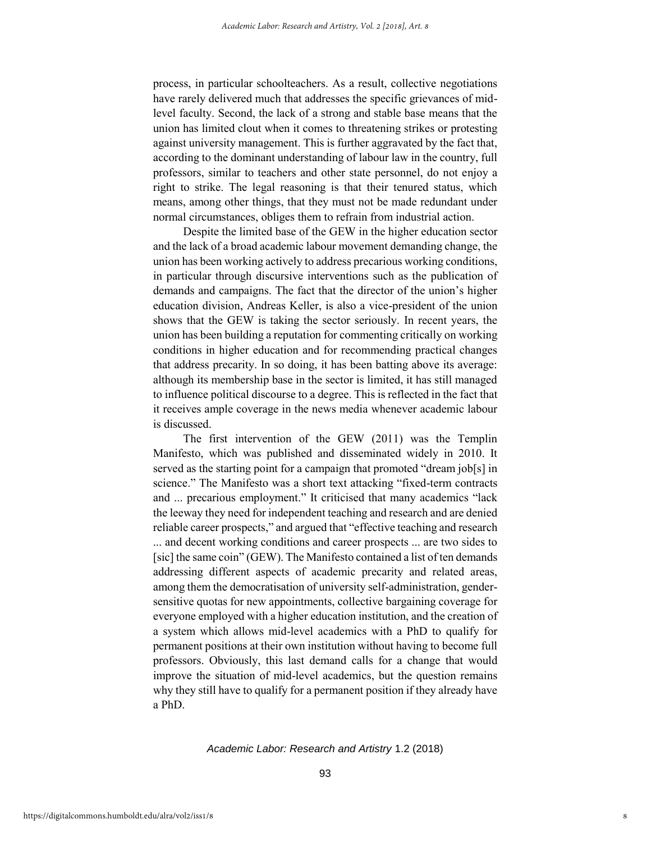process, in particular schoolteachers. As a result, collective negotiations have rarely delivered much that addresses the specific grievances of midlevel faculty. Second, the lack of a strong and stable base means that the union has limited clout when it comes to threatening strikes or protesting against university management. This is further aggravated by the fact that, according to the dominant understanding of labour law in the country, full professors, similar to teachers and other state personnel, do not enjoy a right to strike. The legal reasoning is that their tenured status, which means, among other things, that they must not be made redundant under normal circumstances, obliges them to refrain from industrial action.

Despite the limited base of the GEW in the higher education sector and the lack of a broad academic labour movement demanding change, the union has been working actively to address precarious working conditions, in particular through discursive interventions such as the publication of demands and campaigns. The fact that the director of the union's higher education division, Andreas Keller, is also a vice-president of the union shows that the GEW is taking the sector seriously. In recent years, the union has been building a reputation for commenting critically on working conditions in higher education and for recommending practical changes that address precarity. In so doing, it has been batting above its average: although its membership base in the sector is limited, it has still managed to influence political discourse to a degree. This is reflected in the fact that it receives ample coverage in the news media whenever academic labour is discussed.

The first intervention of the GEW (2011) was the Templin Manifesto, which was published and disseminated widely in 2010. It served as the starting point for a campaign that promoted "dream job[s] in science." The Manifesto was a short text attacking "fixed-term contracts and ... precarious employment." It criticised that many academics "lack the leeway they need for independent teaching and research and are denied reliable career prospects," and argued that "effective teaching and research ... and decent working conditions and career prospects ... are two sides to [sic] the same coin" (GEW). The Manifesto contained a list of ten demands addressing different aspects of academic precarity and related areas, among them the democratisation of university self-administration, gendersensitive quotas for new appointments, collective bargaining coverage for everyone employed with a higher education institution, and the creation of a system which allows mid-level academics with a PhD to qualify for permanent positions at their own institution without having to become full professors. Obviously, this last demand calls for a change that would improve the situation of mid-level academics, but the question remains why they still have to qualify for a permanent position if they already have a PhD.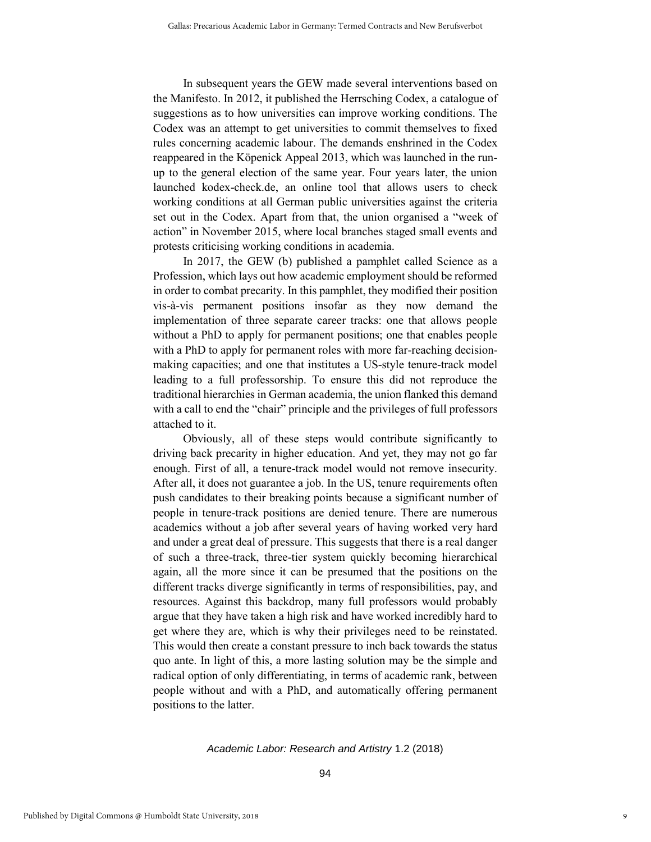In subsequent years the GEW made several interventions based on the Manifesto. In 2012, it published the Herrsching Codex, a catalogue of suggestions as to how universities can improve working conditions. The Codex was an attempt to get universities to commit themselves to fixed rules concerning academic labour. The demands enshrined in the Codex reappeared in the Köpenick Appeal 2013, which was launched in the runup to the general election of the same year. Four years later, the union launched kodex-check.de, an online tool that allows users to check working conditions at all German public universities against the criteria set out in the Codex. Apart from that, the union organised a "week of action" in November 2015, where local branches staged small events and protests criticising working conditions in academia.

In 2017, the GEW (b) published a pamphlet called Science as a Profession, which lays out how academic employment should be reformed in order to combat precarity. In this pamphlet, they modified their position vis-à-vis permanent positions insofar as they now demand the implementation of three separate career tracks: one that allows people without a PhD to apply for permanent positions; one that enables people with a PhD to apply for permanent roles with more far-reaching decisionmaking capacities; and one that institutes a US-style tenure-track model leading to a full professorship. To ensure this did not reproduce the traditional hierarchies in German academia, the union flanked this demand with a call to end the "chair" principle and the privileges of full professors attached to it.

Obviously, all of these steps would contribute significantly to driving back precarity in higher education. And yet, they may not go far enough. First of all, a tenure-track model would not remove insecurity. After all, it does not guarantee a job. In the US, tenure requirements often push candidates to their breaking points because a significant number of people in tenure-track positions are denied tenure. There are numerous academics without a job after several years of having worked very hard and under a great deal of pressure. This suggests that there is a real danger of such a three-track, three-tier system quickly becoming hierarchical again, all the more since it can be presumed that the positions on the different tracks diverge significantly in terms of responsibilities, pay, and resources. Against this backdrop, many full professors would probably argue that they have taken a high risk and have worked incredibly hard to get where they are, which is why their privileges need to be reinstated. This would then create a constant pressure to inch back towards the status quo ante. In light of this, a more lasting solution may be the simple and radical option of only differentiating, in terms of academic rank, between people without and with a PhD, and automatically offering permanent positions to the latter.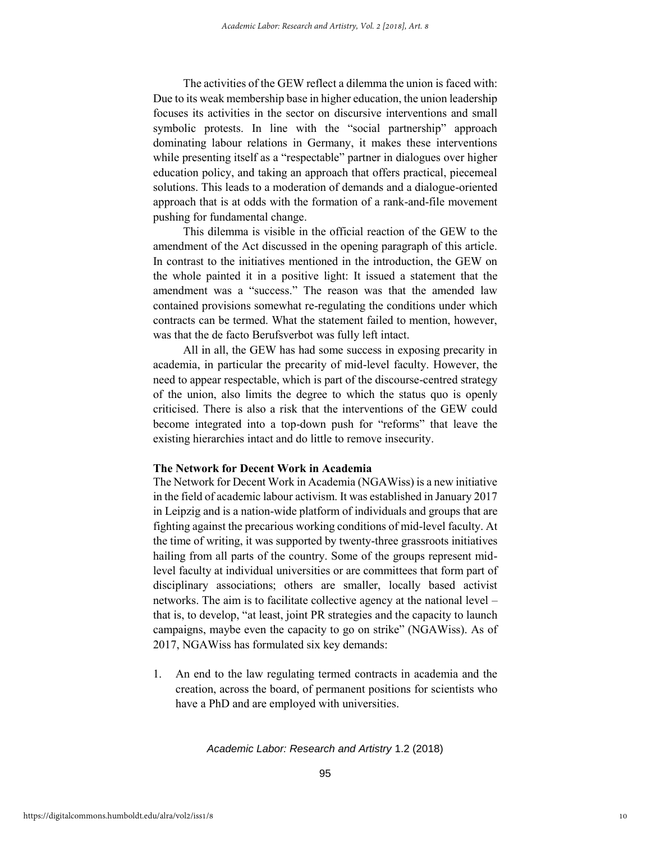The activities of the GEW reflect a dilemma the union is faced with: Due to its weak membership base in higher education, the union leadership focuses its activities in the sector on discursive interventions and small symbolic protests. In line with the "social partnership" approach dominating labour relations in Germany, it makes these interventions while presenting itself as a "respectable" partner in dialogues over higher education policy, and taking an approach that offers practical, piecemeal solutions. This leads to a moderation of demands and a dialogue-oriented approach that is at odds with the formation of a rank-and-file movement pushing for fundamental change.

This dilemma is visible in the official reaction of the GEW to the amendment of the Act discussed in the opening paragraph of this article. In contrast to the initiatives mentioned in the introduction, the GEW on the whole painted it in a positive light: It issued a statement that the amendment was a "success." The reason was that the amended law contained provisions somewhat re-regulating the conditions under which contracts can be termed. What the statement failed to mention, however, was that the de facto Berufsverbot was fully left intact.

All in all, the GEW has had some success in exposing precarity in academia, in particular the precarity of mid-level faculty. However, the need to appear respectable, which is part of the discourse-centred strategy of the union, also limits the degree to which the status quo is openly criticised. There is also a risk that the interventions of the GEW could become integrated into a top-down push for "reforms" that leave the existing hierarchies intact and do little to remove insecurity.

#### **The Network for Decent Work in Academia**

The Network for Decent Work in Academia (NGAWiss) is a new initiative in the field of academic labour activism. It was established in January 2017 in Leipzig and is a nation-wide platform of individuals and groups that are fighting against the precarious working conditions of mid-level faculty. At the time of writing, it was supported by twenty-three grassroots initiatives hailing from all parts of the country. Some of the groups represent midlevel faculty at individual universities or are committees that form part of disciplinary associations; others are smaller, locally based activist networks. The aim is to facilitate collective agency at the national level – that is, to develop, "at least, joint PR strategies and the capacity to launch campaigns, maybe even the capacity to go on strike" (NGAWiss). As of 2017, NGAWiss has formulated six key demands:

1. An end to the law regulating termed contracts in academia and the creation, across the board, of permanent positions for scientists who have a PhD and are employed with universities.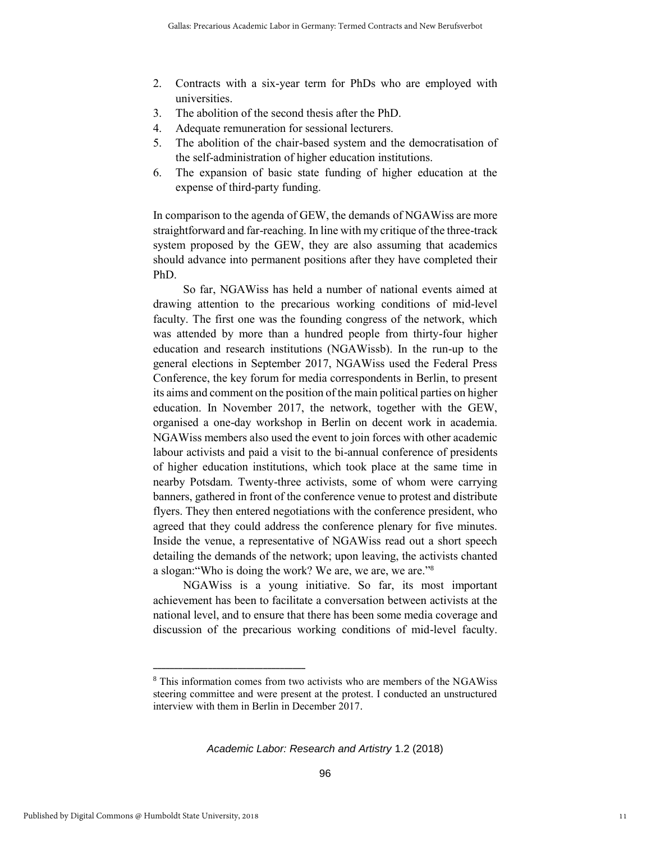- 2. Contracts with a six-year term for PhDs who are employed with universities.
- 3. The abolition of the second thesis after the PhD.
- 4. Adequate remuneration for sessional lecturers.
- 5. The abolition of the chair-based system and the democratisation of the self-administration of higher education institutions.
- 6. The expansion of basic state funding of higher education at the expense of third-party funding.

In comparison to the agenda of GEW, the demands of NGAWiss are more straightforward and far-reaching. In line with my critique of the three-track system proposed by the GEW, they are also assuming that academics should advance into permanent positions after they have completed their PhD.

So far, NGAWiss has held a number of national events aimed at drawing attention to the precarious working conditions of mid-level faculty. The first one was the founding congress of the network, which was attended by more than a hundred people from thirty-four higher education and research institutions (NGAWissb). In the run-up to the general elections in September 2017, NGAWiss used the Federal Press Conference, the key forum for media correspondents in Berlin, to present its aims and comment on the position of the main political parties on higher education. In November 2017, the network, together with the GEW, organised a one-day workshop in Berlin on decent work in academia. NGAWiss members also used the event to join forces with other academic labour activists and paid a visit to the bi-annual conference of presidents of higher education institutions, which took place at the same time in nearby Potsdam. Twenty-three activists, some of whom were carrying banners, gathered in front of the conference venue to protest and distribute flyers. They then entered negotiations with the conference president, who agreed that they could address the conference plenary for five minutes. Inside the venue, a representative of NGAWiss read out a short speech detailing the demands of the network; upon leaving, the activists chanted a slogan:"Who is doing the work? We are, we are, we are."<sup>8</sup>

NGAWiss is a young initiative. So far, its most important achievement has been to facilitate a conversation between activists at the national level, and to ensure that there has been some media coverage and discussion of the precarious working conditions of mid-level faculty.

**\_\_\_\_\_\_\_\_\_\_\_\_\_\_\_\_\_\_\_\_\_\_\_\_\_\_\_\_\_\_\_\_\_\_\_\_** 

<sup>8</sup> This information comes from two activists who are members of the NGAWiss steering committee and were present at the protest. I conducted an unstructured interview with them in Berlin in December 2017.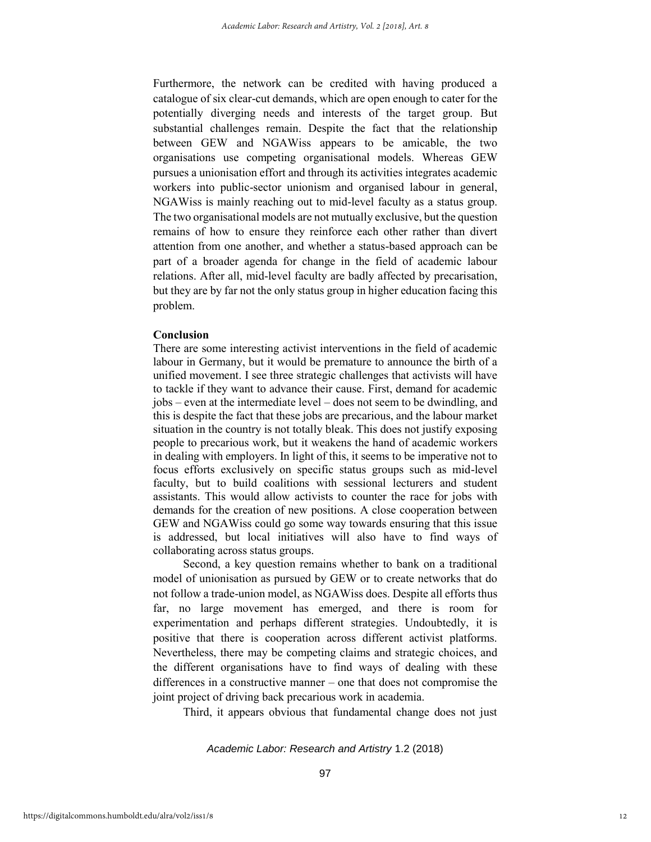Furthermore, the network can be credited with having produced a catalogue of six clear-cut demands, which are open enough to cater for the potentially diverging needs and interests of the target group. But substantial challenges remain. Despite the fact that the relationship between GEW and NGAWiss appears to be amicable, the two organisations use competing organisational models. Whereas GEW pursues a unionisation effort and through its activities integrates academic workers into public-sector unionism and organised labour in general, NGAWiss is mainly reaching out to mid-level faculty as a status group. The two organisational models are not mutually exclusive, but the question remains of how to ensure they reinforce each other rather than divert attention from one another, and whether a status-based approach can be part of a broader agenda for change in the field of academic labour relations. After all, mid-level faculty are badly affected by precarisation, but they are by far not the only status group in higher education facing this problem.

#### **Conclusion**

There are some interesting activist interventions in the field of academic labour in Germany, but it would be premature to announce the birth of a unified movement. I see three strategic challenges that activists will have to tackle if they want to advance their cause. First, demand for academic jobs – even at the intermediate level – does not seem to be dwindling, and this is despite the fact that these jobs are precarious, and the labour market situation in the country is not totally bleak. This does not justify exposing people to precarious work, but it weakens the hand of academic workers in dealing with employers. In light of this, it seems to be imperative not to focus efforts exclusively on specific status groups such as mid-level faculty, but to build coalitions with sessional lecturers and student assistants. This would allow activists to counter the race for jobs with demands for the creation of new positions. A close cooperation between GEW and NGAWiss could go some way towards ensuring that this issue is addressed, but local initiatives will also have to find ways of collaborating across status groups.

Second, a key question remains whether to bank on a traditional model of unionisation as pursued by GEW or to create networks that do not follow a trade-union model, as NGAWiss does. Despite all efforts thus far, no large movement has emerged, and there is room for experimentation and perhaps different strategies. Undoubtedly, it is positive that there is cooperation across different activist platforms. Nevertheless, there may be competing claims and strategic choices, and the different organisations have to find ways of dealing with these differences in a constructive manner – one that does not compromise the joint project of driving back precarious work in academia.

Third, it appears obvious that fundamental change does not just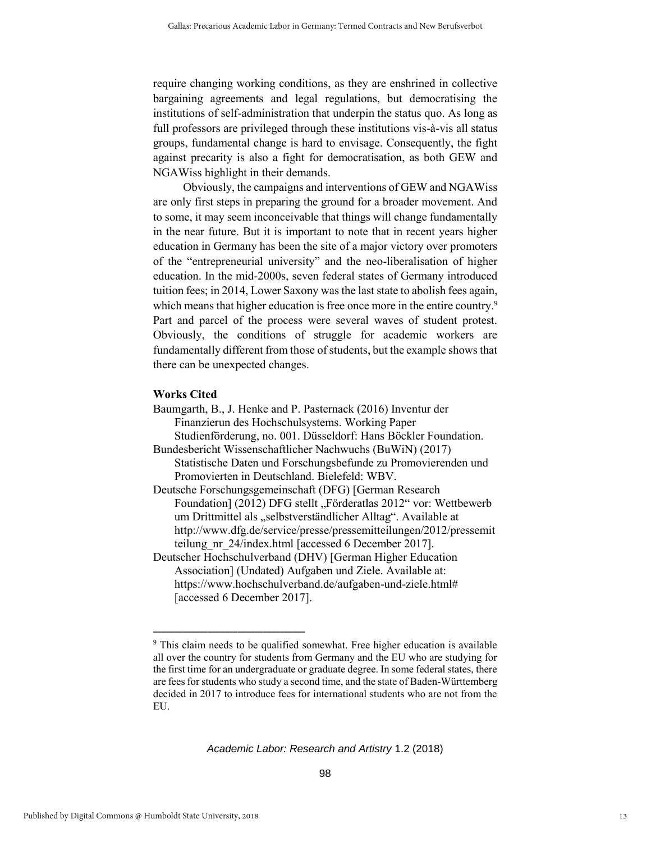require changing working conditions, as they are enshrined in collective bargaining agreements and legal regulations, but democratising the institutions of self-administration that underpin the status quo. As long as full professors are privileged through these institutions vis-à-vis all status groups, fundamental change is hard to envisage. Consequently, the fight against precarity is also a fight for democratisation, as both GEW and NGAWiss highlight in their demands.

Obviously, the campaigns and interventions of GEW and NGAWiss are only first steps in preparing the ground for a broader movement. And to some, it may seem inconceivable that things will change fundamentally in the near future. But it is important to note that in recent years higher education in Germany has been the site of a major victory over promoters of the "entrepreneurial university" and the neo-liberalisation of higher education. In the mid-2000s, seven federal states of Germany introduced tuition fees; in 2014, Lower Saxony was the last state to abolish fees again, which means that higher education is free once more in the entire country.<sup>9</sup> Part and parcel of the process were several waves of student protest. Obviously, the conditions of struggle for academic workers are fundamentally different from those of students, but the example shows that there can be unexpected changes.

#### **Works Cited**

Baumgarth, B., J. Henke and P. Pasternack (2016) Inventur der Finanzierun des Hochschulsystems. Working Paper Studienförderung, no. 001. Düsseldorf: Hans Böckler Foundation. Bundesbericht Wissenschaftlicher Nachwuchs (BuWiN) (2017)

Statistische Daten und Forschungsbefunde zu Promovierenden und Promovierten in Deutschland. Bielefeld: WBV.

Deutsche Forschungsgemeinschaft (DFG) [German Research Foundation] (2012) DFG stellt "Förderatlas 2012" vor: Wettbewerb um Drittmittel als "selbstverständlicher Alltag". Available at [http://www.dfg.de/service/presse/pressemitteilungen/2012/pressemit](http://www.dfg.de/service/presse/pressemitteilungen/2012/pressemitteilung_nr_24/index.html) teilung nr 24/index.html [accessed 6 December 2017].

Deutscher Hochschulverband (DHV) [German Higher Education Association] (Undated) Aufgaben und Ziele. Available at: [https://www.hochschulverband.de/aufgaben-und-ziele.html#](https://www.hochschulverband.de/aufgaben-und-ziele.html) [accessed 6 December 2017].

**\_\_\_\_\_\_\_\_\_\_\_\_\_\_\_\_\_\_\_\_\_\_\_\_\_\_\_\_\_\_\_\_\_\_\_\_** 

<sup>9</sup> This claim needs to be qualified somewhat. Free higher education is available all over the country for students from Germany and the EU who are studying for the first time for an undergraduate or graduate degree. In some federal states, there are fees for students who study a second time, and the state of Baden-Württemberg decided in 2017 to introduce fees for international students who are not from the EU.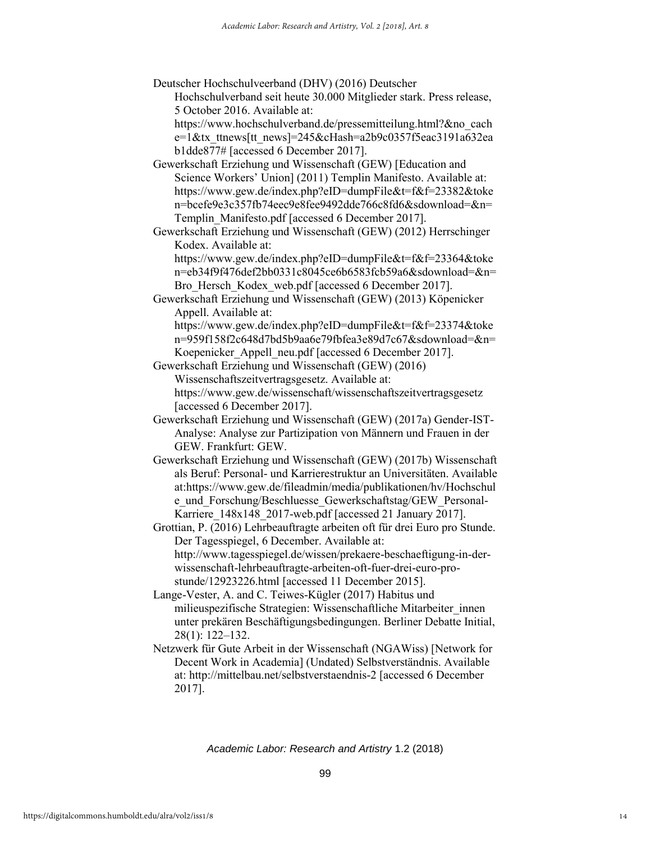Deutscher Hochschulveerband (DHV) (2016) Deutscher Hochschulverband seit heute 30.000 Mitglieder stark. Press release, 5 October 2016. Available at:

[https://www.hochschulverband.de/pressemitteilung.html?&no\\_cach](https://www.hochschulverband.de/pressemitteilung.html?&no_cache=1&tx_ttnews%5btt_news%5d=245&cHash=a2b9c0357f5eac3191a632eab1dde877) [e=1&tx\\_ttnews\[tt\\_news\]=245&cHash=a2b9c0357f5eac3191a632ea](https://www.hochschulverband.de/pressemitteilung.html?&no_cache=1&tx_ttnews%5btt_news%5d=245&cHash=a2b9c0357f5eac3191a632eab1dde877) [b1dde877#](https://www.hochschulverband.de/pressemitteilung.html?&no_cache=1&tx_ttnews%5btt_news%5d=245&cHash=a2b9c0357f5eac3191a632eab1dde877) [accessed 6 December 2017].

Gewerkschaft Erziehung und Wissenschaft (GEW) [Education and Science Workers' Union] (2011) Templin Manifesto. Available at: [https://www.gew.de/index.php?eID=dumpFile&t=f&f=23382&toke](https://www.gew.de/index.php?eID=dumpFile&t=f&f=23382&token=bcefe9e3c357fb74eec9e8fee9492dde766c8fd6&sdownload=&n=Templin_Manifesto.pdf) [n=bcefe9e3c357fb74eec9e8fee9492dde766c8fd6&sdownload=&n=](https://www.gew.de/index.php?eID=dumpFile&t=f&f=23382&token=bcefe9e3c357fb74eec9e8fee9492dde766c8fd6&sdownload=&n=Templin_Manifesto.pdf) [Templin\\_Manifesto.pdf](https://www.gew.de/index.php?eID=dumpFile&t=f&f=23382&token=bcefe9e3c357fb74eec9e8fee9492dde766c8fd6&sdownload=&n=Templin_Manifesto.pdf) [accessed 6 December 2017].

Gewerkschaft Erziehung und Wissenschaft (GEW) (2012) Herrschinger Kodex. Available at:

[https://www.gew.de/index.php?eID=dumpFile&t=f&f=23364&toke](https://www.gew.de/index.php?eID=dumpFile&t=f&f=23364&token=eb34f9f476def2bb0331c8045ce6b6583fcb59a6&sdownload=&n=Bro_Hersch_Kodex_web.pdf) [n=eb34f9f476def2bb0331c8045ce6b6583fcb59a6&sdownload=&n=](https://www.gew.de/index.php?eID=dumpFile&t=f&f=23364&token=eb34f9f476def2bb0331c8045ce6b6583fcb59a6&sdownload=&n=Bro_Hersch_Kodex_web.pdf) Bro Hersch Kodex web.pdf [accessed 6 December 2017].

Gewerkschaft Erziehung und Wissenschaft (GEW) (2013) Köpenicker Appell. Available at:

[https://www.gew.de/index.php?eID=dumpFile&t=f&f=23374&toke](https://www.gew.de/index.php?eID=dumpFile&t=f&f=23374&token=959f158f2c648d7bd5b9aa6e79fbfea3e89d7c67&sdownload=&n=Koepenicker_Appell_neu.pdf) [n=959f158f2c648d7bd5b9aa6e79fbfea3e89d7c67&sdownload=&n=](https://www.gew.de/index.php?eID=dumpFile&t=f&f=23374&token=959f158f2c648d7bd5b9aa6e79fbfea3e89d7c67&sdownload=&n=Koepenicker_Appell_neu.pdf) Koepenicker Appell neu.pdf [accessed 6 December 2017].

Gewerkschaft Erziehung und Wissenschaft (GEW) (2016) Wissenschaftszeitvertragsgesetz. Available at: <https://www.gew.de/wissenschaft/wissenschaftszeitvertragsgesetz> [accessed 6 December 2017].

Gewerkschaft Erziehung und Wissenschaft (GEW) (2017a) Gender-IST-Analyse: Analyse zur Partizipation von Männern und Frauen in der GEW. Frankfurt: GEW.

Gewerkschaft Erziehung und Wissenschaft (GEW) (2017b) Wissenschaft als Beruf: Personal- und Karrierestruktur an Universitäten. Available at[:https://www.gew.de/fileadmin/media/publikationen/hv/Hochschul](https://www.gew.de/fileadmin/media/publikationen/hv/Hochschule_und_Forschung/Beschluesse_Gewerkschaftstag/GEW_Personal-Karriere_148x148_2017-web.pdf) e und Forschung/Beschluesse Gewerkschaftstag/GEW Personal-Karriere 148x148 2017-web.pdf [accessed 21 January 2017].

Grottian, P. (2016) Lehrbeauftragte arbeiten oft für drei Euro pro Stunde. Der Tagesspiegel, 6 December. Available at: [http://www.tagesspiegel.de/wissen/prekaere-beschaeftigung-in-der](http://www.tagesspiegel.de/wissen/prekaere-beschaeftigung-in-der-wissenschaft-lehrbeauftragte-arbeiten-oft-fuer-drei-euro-pro-stunde/12923226.html)[wissenschaft-lehrbeauftragte-arbeiten-oft-fuer-drei-euro-pro](http://www.tagesspiegel.de/wissen/prekaere-beschaeftigung-in-der-wissenschaft-lehrbeauftragte-arbeiten-oft-fuer-drei-euro-pro-stunde/12923226.html)[stunde/12923226.html](http://www.tagesspiegel.de/wissen/prekaere-beschaeftigung-in-der-wissenschaft-lehrbeauftragte-arbeiten-oft-fuer-drei-euro-pro-stunde/12923226.html) [accessed 11 December 2015].

Lange-Vester, A. and C. Teiwes-Kügler (2017) Habitus und milieuspezifische Strategien: Wissenschaftliche Mitarbeiter\_innen unter prekären Beschäftigungsbedingungen. Berliner Debatte Initial, 28(1): 122–132.

Netzwerk für Gute Arbeit in der Wissenschaft (NGAWiss) [Network for Decent Work in Academia] (Undated) Selbstverständnis. Available at:<http://mittelbau.net/selbstverstaendnis-2> [accessed 6 December 2017].